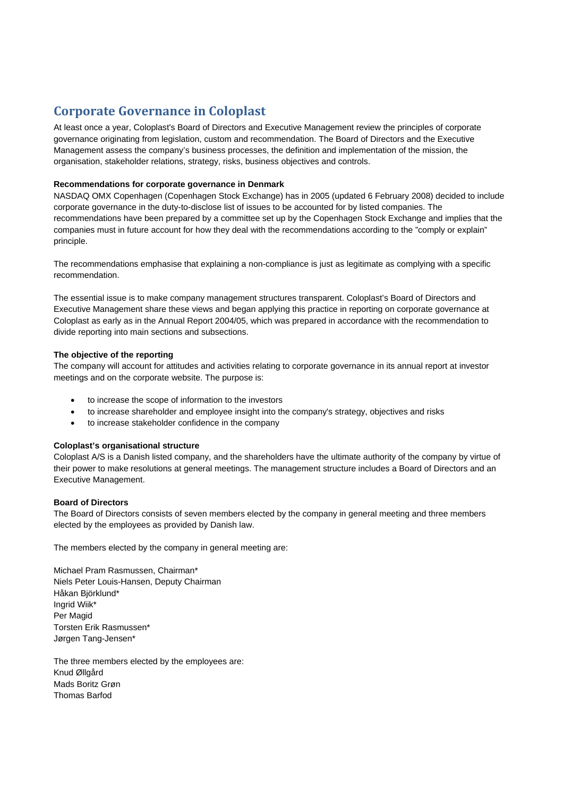# **Corporate Governance in Coloplast**

At least once a year, Coloplast's Board of Directors and Executive Management review the principles of corporate governance originating from legislation, custom and recommendation. The Board of Directors and the Executive Management assess the company's business processes, the definition and implementation of the mission, the organisation, stakeholder relations, strategy, risks, business objectives and controls.

# **Recommendations for corporate governance in Denmark**

NASDAQ OMX Copenhagen (Copenhagen Stock Exchange) has in 2005 (updated 6 February 2008) decided to include corporate governance in the duty-to-disclose list of issues to be accounted for by listed companies. The recommendations have been prepared by a committee set up by the Copenhagen Stock Exchange and implies that the companies must in future account for how they deal with the recommendations according to the "comply or explain" principle.

The recommendations emphasise that explaining a non-compliance is just as legitimate as complying with a specific recommendation.

The essential issue is to make company management structures transparent. Coloplast's Board of Directors and Executive Management share these views and began applying this practice in reporting on corporate governance at Coloplast as early as in the Annual Report 2004/05, which was prepared in accordance with the recommendation to divide reporting into main sections and subsections.

# **The objective of the reporting**

The company will account for attitudes and activities relating to corporate governance in its annual report at investor meetings and on the corporate website. The purpose is:

- to increase the scope of information to the investors
- to increase shareholder and employee insight into the company's strategy, objectives and risks
- to increase stakeholder confidence in the company

# **Coloplast's organisational structure**

Coloplast A/S is a Danish listed company, and the shareholders have the ultimate authority of the company by virtue of their power to make resolutions at general meetings. The management structure includes a Board of Directors and an Executive Management.

# **Board of Directors**

The Board of Directors consists of seven members elected by the company in general meeting and three members elected by the employees as provided by Danish law.

The members elected by the company in general meeting are:

Michael Pram Rasmussen, Chairman\* Niels Peter Louis-Hansen, Deputy Chairman Håkan Björklund\* Ingrid Wiik\* Per Magid Torsten Erik Rasmussen\* Jørgen Tang-Jensen\*

The three members elected by the employees are: Knud Øllgård Mads Boritz Grøn Thomas Barfod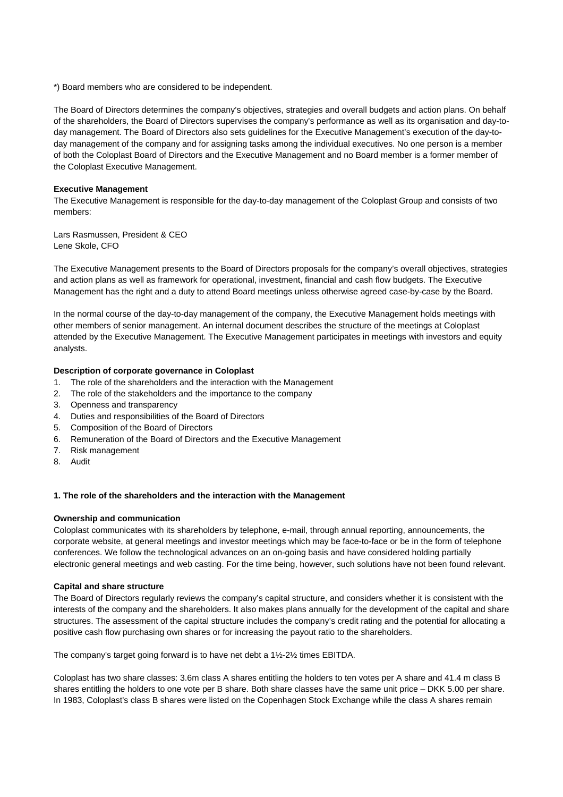\*) Board members who are considered to be independent.

The Board of Directors determines the company's objectives, strategies and overall budgets and action plans. On behalf of the shareholders, the Board of Directors supervises the company's performance as well as its organisation and day-today management. The Board of Directors also sets guidelines for the Executive Management's execution of the day-today management of the company and for assigning tasks among the individual executives. No one person is a member of both the Coloplast Board of Directors and the Executive Management and no Board member is a former member of the Coloplast Executive Management.

# **Executive Management**

The Executive Management is responsible for the day-to-day management of the Coloplast Group and consists of two members:

Lars Rasmussen, President & CEO Lene Skole, CFO

The Executive Management presents to the Board of Directors proposals for the company's overall objectives, strategies and action plans as well as framework for operational, investment, financial and cash flow budgets. The Executive Management has the right and a duty to attend Board meetings unless otherwise agreed case-by-case by the Board.

In the normal course of the day-to-day management of the company, the Executive Management holds meetings with other members of senior management. An internal document describes the structure of the meetings at Coloplast attended by the Executive Management. The Executive Management participates in meetings with investors and equity analysts.

# **Description of corporate governance in Coloplast**

- 1. The role of the shareholders and the interaction with the Management
- 2. The role of the stakeholders and the importance to the company
- 3. Openness and transparency
- 4. Duties and responsibilities of the Board of Directors
- 5. Composition of the Board of Directors
- 6. Remuneration of the Board of Directors and the Executive Management
- 7. Risk management
- 8. Audit

# **1. The role of the shareholders and the interaction with the Management**

# **Ownership and communication**

Coloplast communicates with its shareholders by telephone, e-mail, through annual reporting, announcements, the corporate website, at general meetings and investor meetings which may be face-to-face or be in the form of telephone conferences. We follow the technological advances on an on-going basis and have considered holding partially electronic general meetings and web casting. For the time being, however, such solutions have not been found relevant.

# **Capital and share structure**

The Board of Directors regularly reviews the company's capital structure, and considers whether it is consistent with the interests of the company and the shareholders. It also makes plans annually for the development of the capital and share structures. The assessment of the capital structure includes the company's credit rating and the potential for allocating a positive cash flow purchasing own shares or for increasing the payout ratio to the shareholders.

The company's target going forward is to have net debt a 1½-2½ times EBITDA.

Coloplast has two share classes: 3.6m class A shares entitling the holders to ten votes per A share and 41.4 m class B shares entitling the holders to one vote per B share. Both share classes have the same unit price – DKK 5.00 per share. In 1983, Coloplast's class B shares were listed on the Copenhagen Stock Exchange while the class A shares remain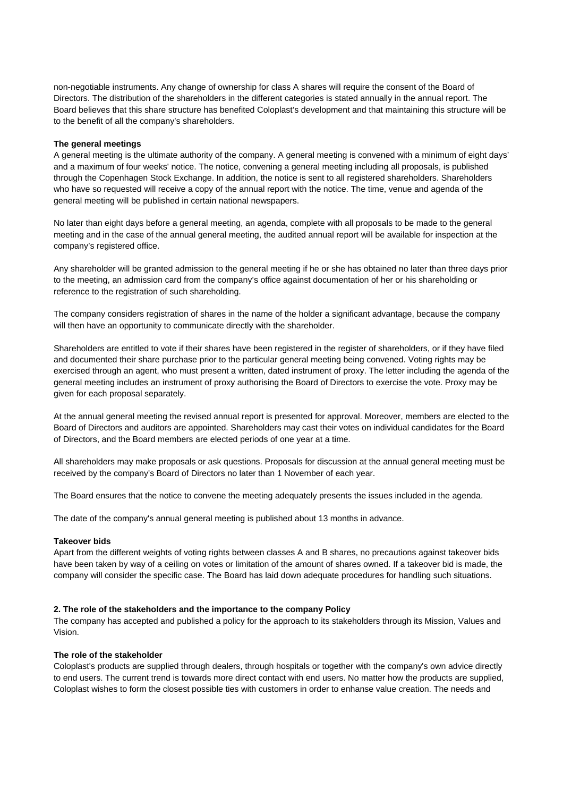non-negotiable instruments. Any change of ownership for class A shares will require the consent of the Board of Directors. The distribution of the shareholders in the different categories is stated annually in the annual report. The Board believes that this share structure has benefited Coloplast's development and that maintaining this structure will be to the benefit of all the company's shareholders.

# **The general meetings**

A general meeting is the ultimate authority of the company. A general meeting is convened with a minimum of eight days' and a maximum of four weeks' notice. The notice, convening a general meeting including all proposals, is published through the Copenhagen Stock Exchange. In addition, the notice is sent to all registered shareholders. Shareholders who have so requested will receive a copy of the annual report with the notice. The time, venue and agenda of the general meeting will be published in certain national newspapers.

No later than eight days before a general meeting, an agenda, complete with all proposals to be made to the general meeting and in the case of the annual general meeting, the audited annual report will be available for inspection at the company's registered office.

Any shareholder will be granted admission to the general meeting if he or she has obtained no later than three days prior to the meeting, an admission card from the company's office against documentation of her or his shareholding or reference to the registration of such shareholding.

The company considers registration of shares in the name of the holder a significant advantage, because the company will then have an opportunity to communicate directly with the shareholder.

Shareholders are entitled to vote if their shares have been registered in the register of shareholders, or if they have filed and documented their share purchase prior to the particular general meeting being convened. Voting rights may be exercised through an agent, who must present a written, dated instrument of proxy. The letter including the agenda of the general meeting includes an instrument of proxy authorising the Board of Directors to exercise the vote. Proxy may be given for each proposal separately.

At the annual general meeting the revised annual report is presented for approval. Moreover, members are elected to the Board of Directors and auditors are appointed. Shareholders may cast their votes on individual candidates for the Board of Directors, and the Board members are elected periods of one year at a time.

All shareholders may make proposals or ask questions. Proposals for discussion at the annual general meeting must be received by the company's Board of Directors no later than 1 November of each year.

The Board ensures that the notice to convene the meeting adequately presents the issues included in the agenda.

The date of the company's annual general meeting is published about 13 months in advance.

# **Takeover bids**

Apart from the different weights of voting rights between classes A and B shares, no precautions against takeover bids have been taken by way of a ceiling on votes or limitation of the amount of shares owned. If a takeover bid is made, the company will consider the specific case. The Board has laid down adequate procedures for handling such situations.

# **2. The role of the stakeholders and the importance to the company Policy**

The company has accepted and published a policy for the approach to its stakeholders through its Mission, Values and Vision.

# **The role of the stakeholder**

Coloplast's products are supplied through dealers, through hospitals or together with the company's own advice directly to end users. The current trend is towards more direct contact with end users. No matter how the products are supplied, Coloplast wishes to form the closest possible ties with customers in order to enhanse value creation. The needs and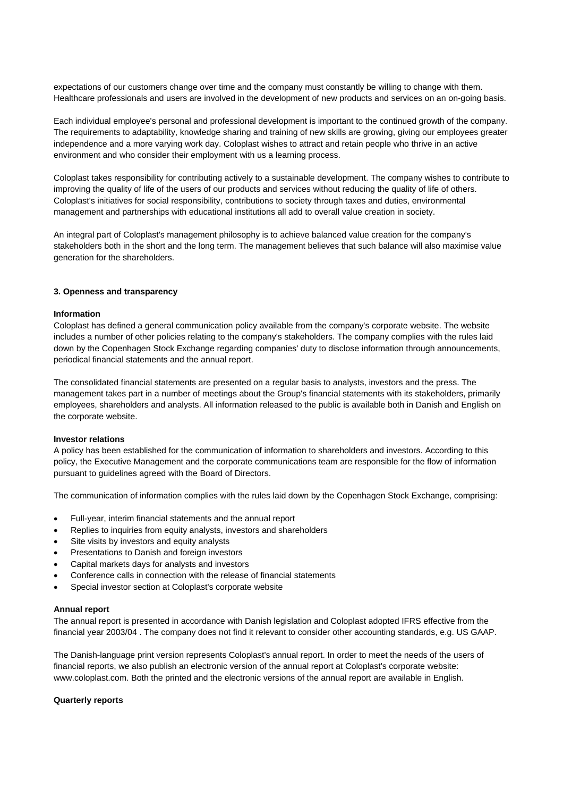expectations of our customers change over time and the company must constantly be willing to change with them. Healthcare professionals and users are involved in the development of new products and services on an on-going basis.

Each individual employee's personal and professional development is important to the continued growth of the company. The requirements to adaptability, knowledge sharing and training of new skills are growing, giving our employees greater independence and a more varying work day. Coloplast wishes to attract and retain people who thrive in an active environment and who consider their employment with us a learning process.

Coloplast takes responsibility for contributing actively to a sustainable development. The company wishes to contribute to improving the quality of life of the users of our products and services without reducing the quality of life of others. Coloplast's initiatives for social responsibility, contributions to society through taxes and duties, environmental management and partnerships with educational institutions all add to overall value creation in society.

An integral part of Coloplast's management philosophy is to achieve balanced value creation for the company's stakeholders both in the short and the long term. The management believes that such balance will also maximise value generation for the shareholders.

# **3. Openness and transparency**

# **Information**

Coloplast has defined a general communication policy available from the company's corporate website. The website includes a number of other policies relating to the company's stakeholders. The company complies with the rules laid down by the Copenhagen Stock Exchange regarding companies' duty to disclose information through announcements, periodical financial statements and the annual report.

The consolidated financial statements are presented on a regular basis to analysts, investors and the press. The management takes part in a number of meetings about the Group's financial statements with its stakeholders, primarily employees, shareholders and analysts. All information released to the public is available both in Danish and English on the corporate website.

# **Investor relations**

A policy has been established for the communication of information to shareholders and investors. According to this policy, the Executive Management and the corporate communications team are responsible for the flow of information pursuant to guidelines agreed with the Board of Directors.

The communication of information complies with the rules laid down by the Copenhagen Stock Exchange, comprising:

- Full-year, interim financial statements and the annual report
- Replies to inquiries from equity analysts, investors and shareholders
- Site visits by investors and equity analysts
- Presentations to Danish and foreign investors
- Capital markets days for analysts and investors
- Conference calls in connection with the release of financial statements
- Special investor section at Coloplast's corporate website

#### **Annual report**

The annual report is presented in accordance with Danish legislation and Coloplast adopted IFRS effective from the financial year 2003/04 . The company does not find it relevant to consider other accounting standards, e.g. US GAAP.

The Danish-language print version represents Coloplast's annual report. In order to meet the needs of the users of financial reports, we also publish an electronic version of the annual report at Coloplast's corporate website: www.coloplast.com. Both the printed and the electronic versions of the annual report are available in English.

### **Quarterly reports**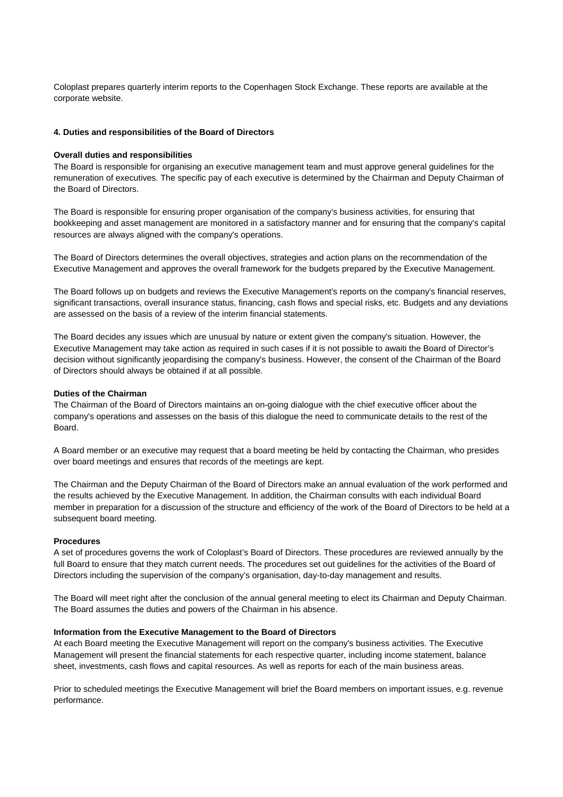Coloplast prepares quarterly interim reports to the Copenhagen Stock Exchange. These reports are available at the corporate website.

### **4. Duties and responsibilities of the Board of Directors**

#### **Overall duties and responsibilities**

The Board is responsible for organising an executive management team and must approve general guidelines for the remuneration of executives. The specific pay of each executive is determined by the Chairman and Deputy Chairman of the Board of Directors.

The Board is responsible for ensuring proper organisation of the company's business activities, for ensuring that bookkeeping and asset management are monitored in a satisfactory manner and for ensuring that the company's capital resources are always aligned with the company's operations.

The Board of Directors determines the overall objectives, strategies and action plans on the recommendation of the Executive Management and approves the overall framework for the budgets prepared by the Executive Management.

The Board follows up on budgets and reviews the Executive Management's reports on the company's financial reserves, significant transactions, overall insurance status, financing, cash flows and special risks, etc. Budgets and any deviations are assessed on the basis of a review of the interim financial statements.

The Board decides any issues which are unusual by nature or extent given the company's situation. However, the Executive Management may take action as required in such cases if it is not possible to awaiti the Board of Director's decision without significantly jeopardising the company's business. However, the consent of the Chairman of the Board of Directors should always be obtained if at all possible.

#### **Duties of the Chairman**

The Chairman of the Board of Directors maintains an on-going dialogue with the chief executive officer about the company's operations and assesses on the basis of this dialogue the need to communicate details to the rest of the Board.

A Board member or an executive may request that a board meeting be held by contacting the Chairman, who presides over board meetings and ensures that records of the meetings are kept.

The Chairman and the Deputy Chairman of the Board of Directors make an annual evaluation of the work performed and the results achieved by the Executive Management. In addition, the Chairman consults with each individual Board member in preparation for a discussion of the structure and efficiency of the work of the Board of Directors to be held at a subsequent board meeting.

#### **Procedures**

A set of procedures governs the work of Coloplast's Board of Directors. These procedures are reviewed annually by the full Board to ensure that they match current needs. The procedures set out guidelines for the activities of the Board of Directors including the supervision of the company's organisation, day-to-day management and results.

The Board will meet right after the conclusion of the annual general meeting to elect its Chairman and Deputy Chairman. The Board assumes the duties and powers of the Chairman in his absence.

#### **Information from the Executive Management to the Board of Directors**

At each Board meeting the Executive Management will report on the company's business activities. The Executive Management will present the financial statements for each respective quarter, including income statement, balance sheet, investments, cash flows and capital resources. As well as reports for each of the main business areas.

Prior to scheduled meetings the Executive Management will brief the Board members on important issues, e.g. revenue performance.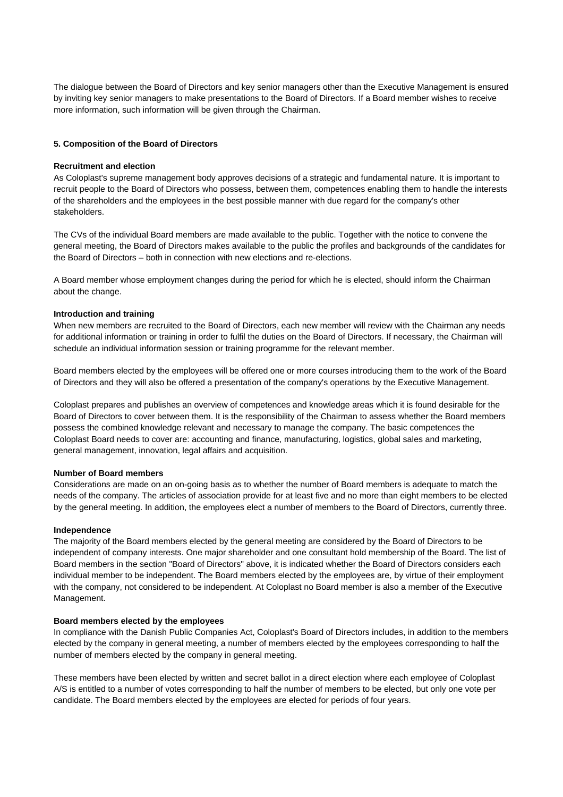The dialogue between the Board of Directors and key senior managers other than the Executive Management is ensured by inviting key senior managers to make presentations to the Board of Directors. If a Board member wishes to receive more information, such information will be given through the Chairman.

# **5. Composition of the Board of Directors**

### **Recruitment and election**

As Coloplast's supreme management body approves decisions of a strategic and fundamental nature. It is important to recruit people to the Board of Directors who possess, between them, competences enabling them to handle the interests of the shareholders and the employees in the best possible manner with due regard for the company's other stakeholders.

The CVs of the individual Board members are made available to the public. Together with the notice to convene the general meeting, the Board of Directors makes available to the public the profiles and backgrounds of the candidates for the Board of Directors – both in connection with new elections and re-elections.

A Board member whose employment changes during the period for which he is elected, should inform the Chairman about the change.

# **Introduction and training**

When new members are recruited to the Board of Directors, each new member will review with the Chairman any needs for additional information or training in order to fulfil the duties on the Board of Directors. If necessary, the Chairman will schedule an individual information session or training programme for the relevant member.

Board members elected by the employees will be offered one or more courses introducing them to the work of the Board of Directors and they will also be offered a presentation of the company's operations by the Executive Management.

Coloplast prepares and publishes an overview of competences and knowledge areas which it is found desirable for the Board of Directors to cover between them. It is the responsibility of the Chairman to assess whether the Board members possess the combined knowledge relevant and necessary to manage the company. The basic competences the Coloplast Board needs to cover are: accounting and finance, manufacturing, logistics, global sales and marketing, general management, innovation, legal affairs and acquisition.

# **Number of Board members**

Considerations are made on an on-going basis as to whether the number of Board members is adequate to match the needs of the company. The articles of association provide for at least five and no more than eight members to be elected by the general meeting. In addition, the employees elect a number of members to the Board of Directors, currently three.

#### **Independence**

The majority of the Board members elected by the general meeting are considered by the Board of Directors to be independent of company interests. One major shareholder and one consultant hold membership of the Board. The list of Board members in the section "Board of Directors" above, it is indicated whether the Board of Directors considers each individual member to be independent. The Board members elected by the employees are, by virtue of their employment with the company, not considered to be independent. At Coloplast no Board member is also a member of the Executive Management.

#### **Board members elected by the employees**

In compliance with the Danish Public Companies Act, Coloplast's Board of Directors includes, in addition to the members elected by the company in general meeting, a number of members elected by the employees corresponding to half the number of members elected by the company in general meeting.

These members have been elected by written and secret ballot in a direct election where each employee of Coloplast A/S is entitled to a number of votes corresponding to half the number of members to be elected, but only one vote per candidate. The Board members elected by the employees are elected for periods of four years.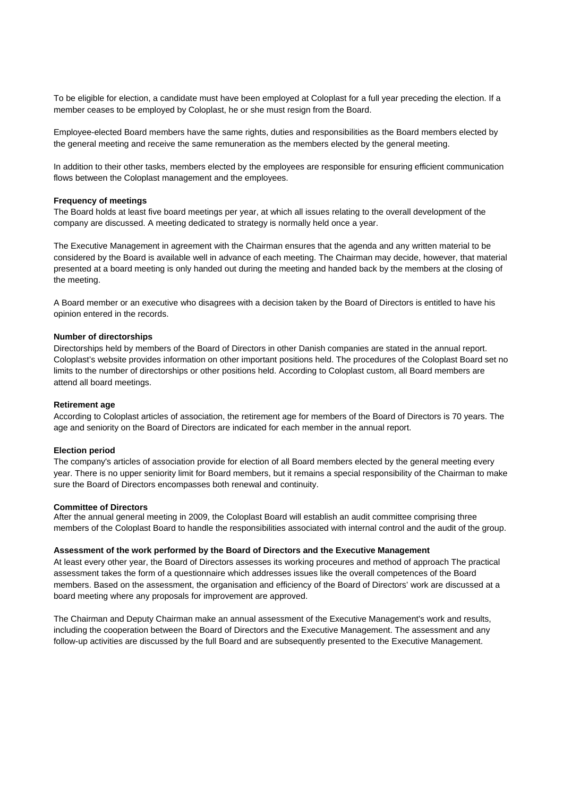To be eligible for election, a candidate must have been employed at Coloplast for a full year preceding the election. If a member ceases to be employed by Coloplast, he or she must resign from the Board.

Employee-elected Board members have the same rights, duties and responsibilities as the Board members elected by the general meeting and receive the same remuneration as the members elected by the general meeting.

In addition to their other tasks, members elected by the employees are responsible for ensuring efficient communication flows between the Coloplast management and the employees.

#### **Frequency of meetings**

The Board holds at least five board meetings per year, at which all issues relating to the overall development of the company are discussed. A meeting dedicated to strategy is normally held once a year.

The Executive Management in agreement with the Chairman ensures that the agenda and any written material to be considered by the Board is available well in advance of each meeting. The Chairman may decide, however, that material presented at a board meeting is only handed out during the meeting and handed back by the members at the closing of the meeting.

A Board member or an executive who disagrees with a decision taken by the Board of Directors is entitled to have his opinion entered in the records.

#### **Number of directorships**

Directorships held by members of the Board of Directors in other Danish companies are stated in the annual report. Coloplast's website provides information on other important positions held. The procedures of the Coloplast Board set no limits to the number of directorships or other positions held. According to Coloplast custom, all Board members are attend all board meetings.

#### **Retirement age**

According to Coloplast articles of association, the retirement age for members of the Board of Directors is 70 years. The age and seniority on the Board of Directors are indicated for each member in the annual report.

#### **Election period**

The company's articles of association provide for election of all Board members elected by the general meeting every year. There is no upper seniority limit for Board members, but it remains a special responsibility of the Chairman to make sure the Board of Directors encompasses both renewal and continuity.

#### **Committee of Directors**

After the annual general meeting in 2009, the Coloplast Board will establish an audit committee comprising three members of the Coloplast Board to handle the responsibilities associated with internal control and the audit of the group.

### **Assessment of the work performed by the Board of Directors and the Executive Management**

At least every other year, the Board of Directors assesses its working proceures and method of approach The practical assessment takes the form of a questionnaire which addresses issues like the overall competences of the Board members. Based on the assessment, the organisation and efficiency of the Board of Directors' work are discussed at a board meeting where any proposals for improvement are approved.

The Chairman and Deputy Chairman make an annual assessment of the Executive Management's work and results, including the cooperation between the Board of Directors and the Executive Management. The assessment and any follow-up activities are discussed by the full Board and are subsequently presented to the Executive Management.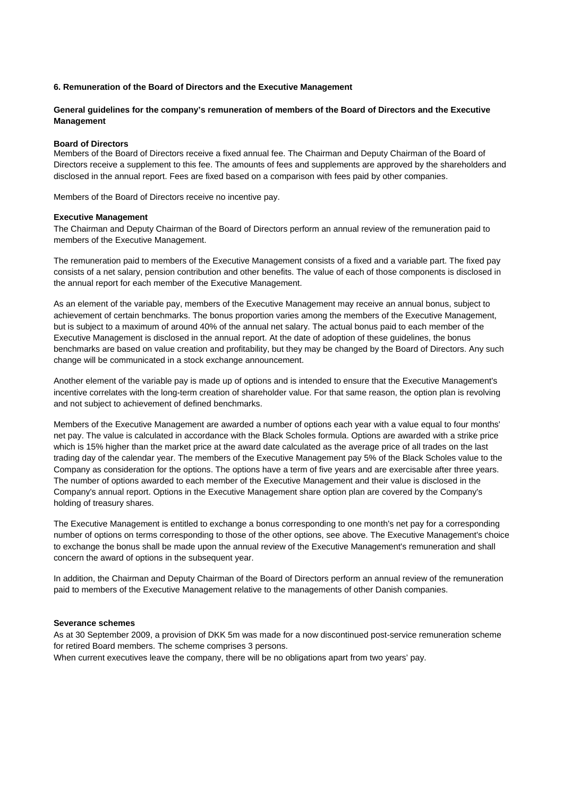# **6. Remuneration of the Board of Directors and the Executive Management**

# **General guidelines for the company's remuneration of members of the Board of Directors and the Executive Management**

# **Board of Directors**

Members of the Board of Directors receive a fixed annual fee. The Chairman and Deputy Chairman of the Board of Directors receive a supplement to this fee. The amounts of fees and supplements are approved by the shareholders and disclosed in the annual report. Fees are fixed based on a comparison with fees paid by other companies.

Members of the Board of Directors receive no incentive pay.

#### **Executive Management**

The Chairman and Deputy Chairman of the Board of Directors perform an annual review of the remuneration paid to members of the Executive Management.

The remuneration paid to members of the Executive Management consists of a fixed and a variable part. The fixed pay consists of a net salary, pension contribution and other benefits. The value of each of those components is disclosed in the annual report for each member of the Executive Management.

As an element of the variable pay, members of the Executive Management may receive an annual bonus, subject to achievement of certain benchmarks. The bonus proportion varies among the members of the Executive Management, but is subject to a maximum of around 40% of the annual net salary. The actual bonus paid to each member of the Executive Management is disclosed in the annual report. At the date of adoption of these guidelines, the bonus benchmarks are based on value creation and profitability, but they may be changed by the Board of Directors. Any such change will be communicated in a stock exchange announcement.

Another element of the variable pay is made up of options and is intended to ensure that the Executive Management's incentive correlates with the long-term creation of shareholder value. For that same reason, the option plan is revolving and not subject to achievement of defined benchmarks.

Members of the Executive Management are awarded a number of options each year with a value equal to four months' net pay. The value is calculated in accordance with the Black Scholes formula. Options are awarded with a strike price which is 15% higher than the market price at the award date calculated as the average price of all trades on the last trading day of the calendar year. The members of the Executive Management pay 5% of the Black Scholes value to the Company as consideration for the options. The options have a term of five years and are exercisable after three years. The number of options awarded to each member of the Executive Management and their value is disclosed in the Company's annual report. Options in the Executive Management share option plan are covered by the Company's holding of treasury shares.

The Executive Management is entitled to exchange a bonus corresponding to one month's net pay for a corresponding number of options on terms corresponding to those of the other options, see above. The Executive Management's choice to exchange the bonus shall be made upon the annual review of the Executive Management's remuneration and shall concern the award of options in the subsequent year.

In addition, the Chairman and Deputy Chairman of the Board of Directors perform an annual review of the remuneration paid to members of the Executive Management relative to the managements of other Danish companies.

#### **Severance schemes**

As at 30 September 2009, a provision of DKK 5m was made for a now discontinued post-service remuneration scheme for retired Board members. The scheme comprises 3 persons. When current executives leave the company, there will be no obligations apart from two years' pay.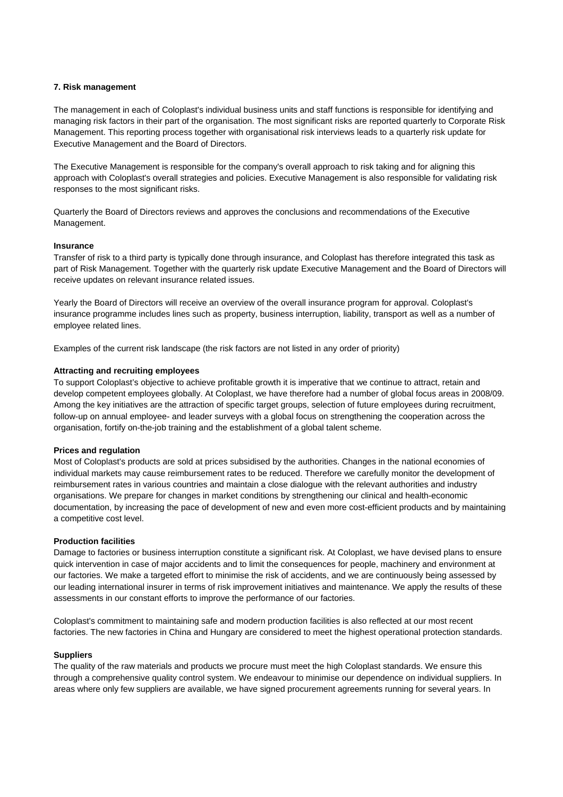# **7. Risk management**

The management in each of Coloplast's individual business units and staff functions is responsible for identifying and managing risk factors in their part of the organisation. The most significant risks are reported quarterly to Corporate Risk Management. This reporting process together with organisational risk interviews leads to a quarterly risk update for Executive Management and the Board of Directors.

The Executive Management is responsible for the company's overall approach to risk taking and for aligning this approach with Coloplast's overall strategies and policies. Executive Management is also responsible for validating risk responses to the most significant risks.

Quarterly the Board of Directors reviews and approves the conclusions and recommendations of the Executive Management.

# **Insurance**

Transfer of risk to a third party is typically done through insurance, and Coloplast has therefore integrated this task as part of Risk Management. Together with the quarterly risk update Executive Management and the Board of Directors will receive updates on relevant insurance related issues.

Yearly the Board of Directors will receive an overview of the overall insurance program for approval. Coloplast's insurance programme includes lines such as property, business interruption, liability, transport as well as a number of employee related lines.

Examples of the current risk landscape (the risk factors are not listed in any order of priority)

# **Attracting and recruiting employees**

To support Coloplast's objective to achieve profitable growth it is imperative that we continue to attract, retain and develop competent employees globally. At Coloplast, we have therefore had a number of global focus areas in 2008/09. Among the key initiatives are the attraction of specific target groups, selection of future employees during recruitment, follow-up on annual employee- and leader surveys with a global focus on strengthening the cooperation across the organisation, fortify on-the-job training and the establishment of a global talent scheme.

# **Prices and regulation**

Most of Coloplast's products are sold at prices subsidised by the authorities. Changes in the national economies of individual markets may cause reimbursement rates to be reduced. Therefore we carefully monitor the development of reimbursement rates in various countries and maintain a close dialogue with the relevant authorities and industry organisations. We prepare for changes in market conditions by strengthening our clinical and health-economic documentation, by increasing the pace of development of new and even more cost-efficient products and by maintaining a competitive cost level.

# **Production facilities**

Damage to factories or business interruption constitute a significant risk. At Coloplast, we have devised plans to ensure quick intervention in case of major accidents and to limit the consequences for people, machinery and environment at our factories. We make a targeted effort to minimise the risk of accidents, and we are continuously being assessed by our leading international insurer in terms of risk improvement initiatives and maintenance. We apply the results of these assessments in our constant efforts to improve the performance of our factories.

Coloplast's commitment to maintaining safe and modern production facilities is also reflected at our most recent factories. The new factories in China and Hungary are considered to meet the highest operational protection standards.

# **Suppliers**

The quality of the raw materials and products we procure must meet the high Coloplast standards. We ensure this through a comprehensive quality control system. We endeavour to minimise our dependence on individual suppliers. In areas where only few suppliers are available, we have signed procurement agreements running for several years. In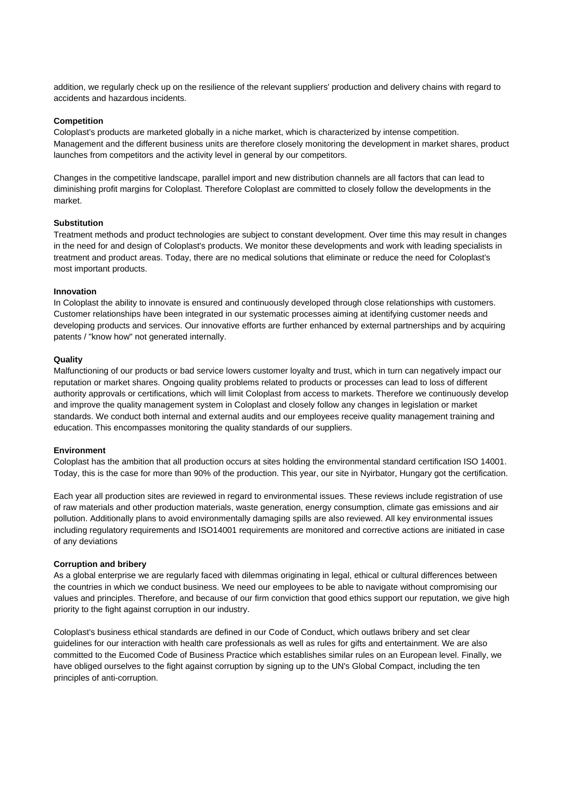addition, we regularly check up on the resilience of the relevant suppliers' production and delivery chains with regard to accidents and hazardous incidents.

# **Competition**

Coloplast's products are marketed globally in a niche market, which is characterized by intense competition. Management and the different business units are therefore closely monitoring the development in market shares, product launches from competitors and the activity level in general by our competitors.

Changes in the competitive landscape, parallel import and new distribution channels are all factors that can lead to diminishing profit margins for Coloplast. Therefore Coloplast are committed to closely follow the developments in the market.

# **Substitution**

Treatment methods and product technologies are subject to constant development. Over time this may result in changes in the need for and design of Coloplast's products. We monitor these developments and work with leading specialists in treatment and product areas. Today, there are no medical solutions that eliminate or reduce the need for Coloplast's most important products.

#### **Innovation**

In Coloplast the ability to innovate is ensured and continuously developed through close relationships with customers. Customer relationships have been integrated in our systematic processes aiming at identifying customer needs and developing products and services. Our innovative efforts are further enhanced by external partnerships and by acquiring patents / "know how" not generated internally.

#### **Quality**

Malfunctioning of our products or bad service lowers customer loyalty and trust, which in turn can negatively impact our reputation or market shares. Ongoing quality problems related to products or processes can lead to loss of different authority approvals or certifications, which will limit Coloplast from access to markets. Therefore we continuously develop and improve the quality management system in Coloplast and closely follow any changes in legislation or market standards. We conduct both internal and external audits and our employees receive quality management training and education. This encompasses monitoring the quality standards of our suppliers.

#### **Environment**

Coloplast has the ambition that all production occurs at sites holding the environmental standard certification ISO 14001. Today, this is the case for more than 90% of the production. This year, our site in Nyirbator, Hungary got the certification.

Each year all production sites are reviewed in regard to environmental issues. These reviews include registration of use of raw materials and other production materials, waste generation, energy consumption, climate gas emissions and air pollution. Additionally plans to avoid environmentally damaging spills are also reviewed. All key environmental issues including regulatory requirements and ISO14001 requirements are monitored and corrective actions are initiated in case of any deviations

#### **Corruption and bribery**

As a global enterprise we are regularly faced with dilemmas originating in legal, ethical or cultural differences between the countries in which we conduct business. We need our employees to be able to navigate without compromising our values and principles. Therefore, and because of our firm conviction that good ethics support our reputation, we give high priority to the fight against corruption in our industry.

Coloplast's business ethical standards are defined in our Code of Conduct, which outlaws bribery and set clear guidelines for our interaction with health care professionals as well as rules for gifts and entertainment. We are also committed to the Eucomed Code of Business Practice which establishes similar rules on an European level. Finally, we have obliged ourselves to the fight against corruption by signing up to the UN's Global Compact, including the ten principles of anti-corruption.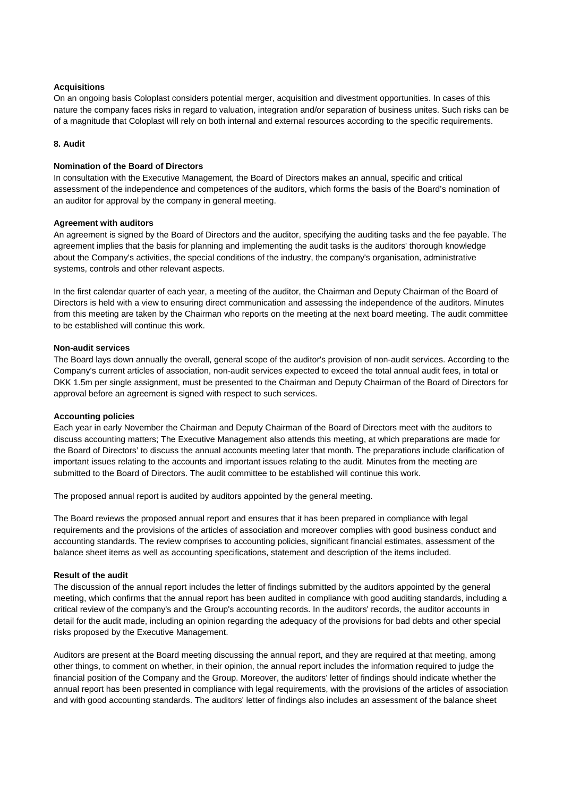# **Acquisitions**

On an ongoing basis Coloplast considers potential merger, acquisition and divestment opportunities. In cases of this nature the company faces risks in regard to valuation, integration and/or separation of business unites. Such risks can be of a magnitude that Coloplast will rely on both internal and external resources according to the specific requirements.

# **8. Audit**

# **Nomination of the Board of Directors**

In consultation with the Executive Management, the Board of Directors makes an annual, specific and critical assessment of the independence and competences of the auditors, which forms the basis of the Board's nomination of an auditor for approval by the company in general meeting.

# **Agreement with auditors**

An agreement is signed by the Board of Directors and the auditor, specifying the auditing tasks and the fee payable. The agreement implies that the basis for planning and implementing the audit tasks is the auditors' thorough knowledge about the Company's activities, the special conditions of the industry, the company's organisation, administrative systems, controls and other relevant aspects.

In the first calendar quarter of each year, a meeting of the auditor, the Chairman and Deputy Chairman of the Board of Directors is held with a view to ensuring direct communication and assessing the independence of the auditors. Minutes from this meeting are taken by the Chairman who reports on the meeting at the next board meeting. The audit committee to be established will continue this work.

# **Non-audit services**

The Board lays down annually the overall, general scope of the auditor's provision of non-audit services. According to the Company's current articles of association, non-audit services expected to exceed the total annual audit fees, in total or DKK 1.5m per single assignment, must be presented to the Chairman and Deputy Chairman of the Board of Directors for approval before an agreement is signed with respect to such services.

# **Accounting policies**

Each year in early November the Chairman and Deputy Chairman of the Board of Directors meet with the auditors to discuss accounting matters; The Executive Management also attends this meeting, at which preparations are made for the Board of Directors' to discuss the annual accounts meeting later that month. The preparations include clarification of important issues relating to the accounts and important issues relating to the audit. Minutes from the meeting are submitted to the Board of Directors. The audit committee to be established will continue this work.

The proposed annual report is audited by auditors appointed by the general meeting.

The Board reviews the proposed annual report and ensures that it has been prepared in compliance with legal requirements and the provisions of the articles of association and moreover complies with good business conduct and accounting standards. The review comprises to accounting policies, significant financial estimates, assessment of the balance sheet items as well as accounting specifications, statement and description of the items included.

# **Result of the audit**

The discussion of the annual report includes the letter of findings submitted by the auditors appointed by the general meeting, which confirms that the annual report has been audited in compliance with good auditing standards, including a critical review of the company's and the Group's accounting records. In the auditors' records, the auditor accounts in detail for the audit made, including an opinion regarding the adequacy of the provisions for bad debts and other special risks proposed by the Executive Management.

Auditors are present at the Board meeting discussing the annual report, and they are required at that meeting, among other things, to comment on whether, in their opinion, the annual report includes the information required to judge the financial position of the Company and the Group. Moreover, the auditors' letter of findings should indicate whether the annual report has been presented in compliance with legal requirements, with the provisions of the articles of association and with good accounting standards. The auditors' letter of findings also includes an assessment of the balance sheet